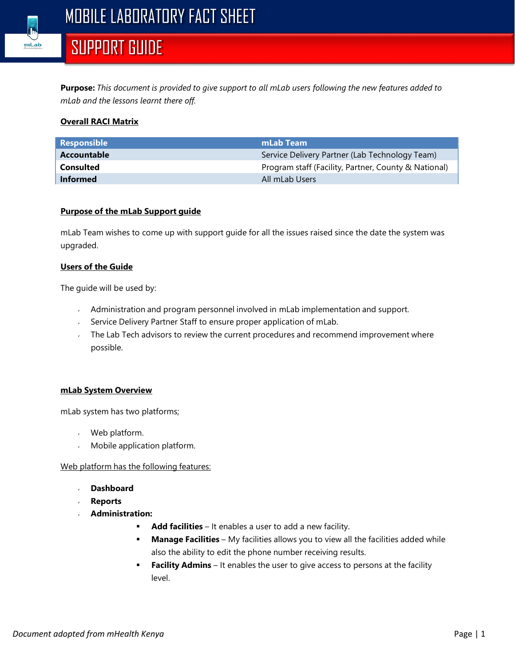

### **SUPPORT GUIDE**

**Purpose:** *This document is provided to give support to all mLab users following the new features added to mLab and the lessons learnt there off.*

### **Overall RACI Matrix**

| <b>Responsible</b> | mLab Team                                            |
|--------------------|------------------------------------------------------|
| Accountable        | Service Delivery Partner (Lab Technology Team)       |
| Consulted          | Program staff (Facility, Partner, County & National) |
| <b>Informed</b>    | All mLab Users                                       |

#### **Purpose of the mLab Support guide**

mLab Team wishes to come up with support guide for all the issues raised since the date the system was upgraded.

#### **Users of the Guide**

The guide will be used by:

- Administration and program personnel involved in mLab implementation and support.
- Service Delivery Partner Staff to ensure proper application of mLab.
- $\cdot$  The Lab Tech advisors to review the current procedures and recommend improvement where possible.

#### **mLab System Overview**

mLab system has two platforms;

- Web platform.
- Mobile application platform.

Web platform has the following features:

- **Dashboard**
- **Reports**
- **Administration:**
	- Add facilities It enables a user to add a new facility.
	- **Manage Facilities** My facilities allows you to view all the facilities added while also the ability to edit the phone number receiving results.
	- **Facility Admins** It enables the user to give access to persons at the facility level.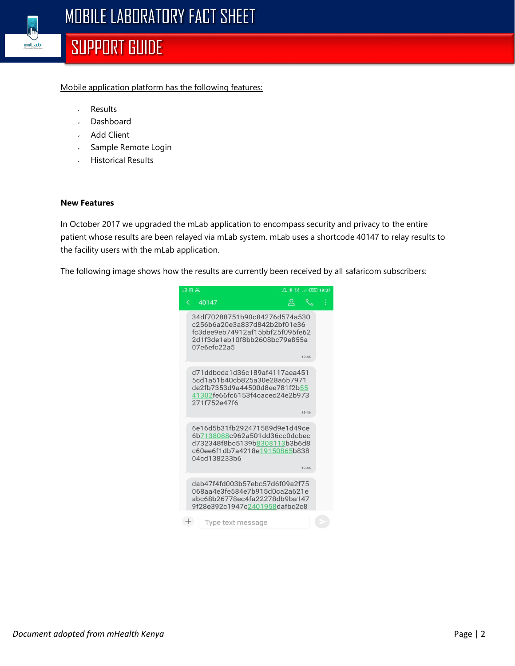

### **SUPPORT GUIDE**

Mobile application platform has the following features:

- Results
- Dashboard
- Add Client
- Sample Remote Login
- Historical Results

#### **New Features**

In October 2017 we upgraded the mLab application to encompass security and privacy to the entire patient whose results are been relayed via mLab system. mLab uses a shortcode 40147 to relay results to the facility users with the mLab application.

The following image shows how the results are currently been received by all safaricom subscribers:

| 日日二 |                                                                                                                                                  | △ * ©  (555) 19:37 |              |   |
|-----|--------------------------------------------------------------------------------------------------------------------------------------------------|--------------------|--------------|---|
| く   | 40147                                                                                                                                            | ని                 | $R_{\alpha}$ | ł |
|     | 34df70288751b90c84276d574a530<br>c256b6a20e3a837d842b2bf01e36<br>fc3dee9eb74912af15bbf25f095fe62<br>2d1f3de1eb10f8bb2608bc79e855a<br>07e6efc22a5 |                    | 19:46        |   |
|     | d71ddbcda1d36c189af4117aea451<br>5cd1a51b40cb825a30e28a6b7971<br>de2fb7353d9a44500d8ee781f2b55<br>41302fe66fc6153f4cacec24e2b973<br>271f752e47f6 |                    | 19:46        |   |
|     | 6e16d5b31fb292471589d9e1d49ce<br>6b7138088c962a501dd36cc0dcbec<br>d732348f8bc5139b8308113b3b6d8<br>c60ee6f1db7a4218e19150865b838<br>04cd138233b6 |                    | 19:46        |   |
|     | dab47f4fd003b57ebc57d6f09a2f75<br>068aa4e3fe584e7b915d0ca2a621e<br>abc68b26778ec4fa22278db9ba147<br>9f28e392c1947c2401958dafbc2c8                |                    |              |   |
|     | Type text message                                                                                                                                |                    |              |   |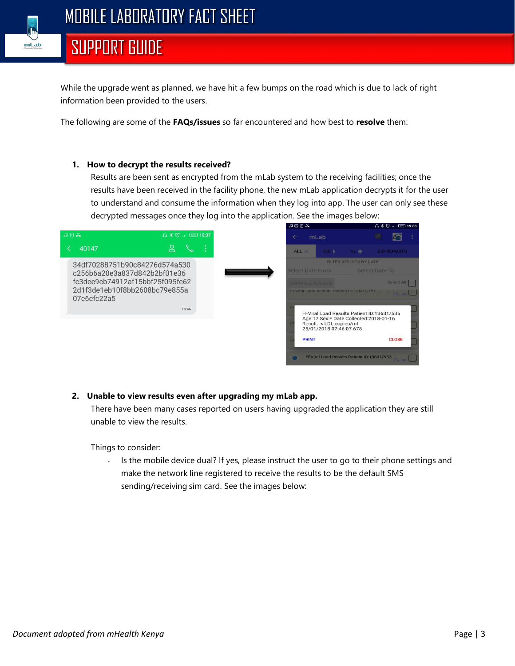

### **SUPPORT GUIDE**

While the upgrade went as planned, we have hit a few bumps on the road which is due to lack of right information been provided to the users.

The following are some of the **FAQs/issues** so far encountered and how best to **resolve** them:

#### **1. How to decrypt the results received?**

Results are been sent as encrypted from the mLab system to the receiving facilities; once the results have been received in the facility phone, the new mLab application decrypts it for the user to understand and consume the information when they log into app. The user can only see these decrypted messages once they log into the application. See the images below:



#### **2. Unable to view results even after upgrading my mLab app.**

There have been many cases reported on users having upgraded the application they are still unable to view the results.

Things to consider:

Is the mobile device dual? If yes, please instruct the user to go to their phone settings and make the network line registered to receive the results to be the default SMS sending/receiving sim card. See the images below: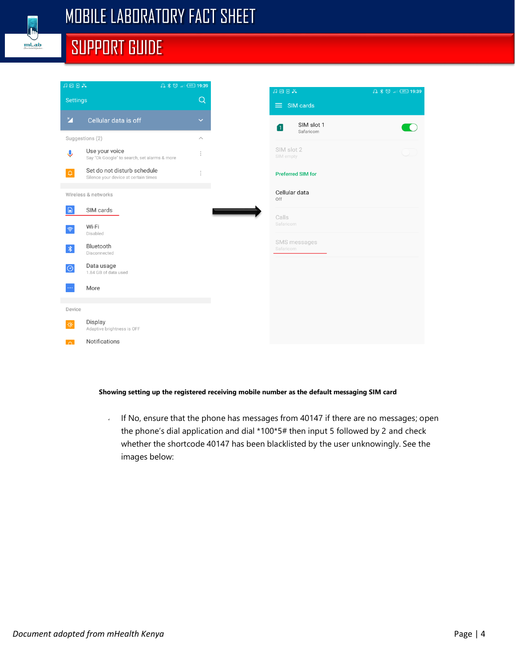

# **SUPPORT GUIDE**

| $ABB X$                            |                                                                     |                         |
|------------------------------------|---------------------------------------------------------------------|-------------------------|
| <b>Settings</b>                    |                                                                     | Q                       |
| $\mathbf{M}$                       | Cellular data is off                                                | $\checkmark$            |
|                                    | Suggestions (2)                                                     | $\widehat{\phantom{a}}$ |
| Ļ                                  | Use your voice<br>Say "Ok Google" to search, set alarms & more      |                         |
| $\hbox{ }\Omega$                   | Set do not disturb schedule<br>Silence your device at certain times | $\ddot{\cdot}$          |
|                                    | Wireless & networks                                                 |                         |
| $\Box$                             | SIM cards                                                           |                         |
| $\widehat{\tau}$                   | Wi-Fi<br>Disabled                                                   |                         |
| $\ast$                             | Bluetooth<br>Disconnected                                           |                         |
| $\Theta$                           | Data usage<br>1.84 GB of data used                                  |                         |
|                                    | More                                                                |                         |
| Device                             |                                                                     |                         |
| $\langle \hat{\mathbf{Q}} \rangle$ | Display<br>Adaptive brightness is OFF                               |                         |
| $\cap$                             | Notifications                                                       |                         |

#### **Showing setting up the registered receiving mobile number as the default messaging SIM card**

If No, ensure that the phone has messages from 40147 if there are no messages; open  $\mathbf{v}^{(i)}$  . the phone's dial application and dial \*100\*5# then input 5 followed by 2 and check whether the shortcode 40147 has been blacklisted by the user unknowingly. See the images below: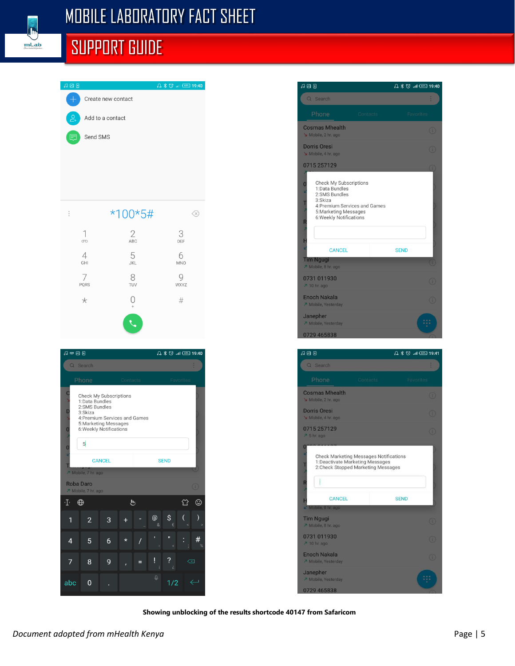

# **SUPPORT GUIDE**







**Showing unblocking of the results shortcode 40147 from Safaricom**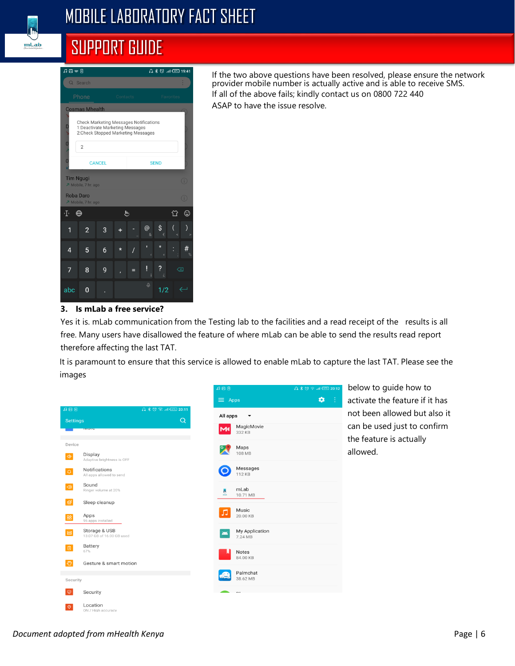

## **SUPPORT GUIDE**



If the two above questions have been resolved, please ensure the network provider mobile number is actually active and is able to receive SMS. If all of the above fails; kindly contact us on 0800 722 440 ASAP to have the issue resolve.

### **3. Is mLab a free service?**

Yes it is. mLab communication from the Testing lab to the facilities and a read receipt of the results is all free. Many users have disallowed the feature of where mLab can be able to send the results read report therefore affecting the last TAT.

It is paramount to ensure that this service is allowed to enable mLab to capture the last TAT. Please see the images



below to guide how to activate the feature if it has not been allowed but also it can be used just to confirm the feature is actually allowed.

**Document adopted from mHealth Kenya** Page | 6